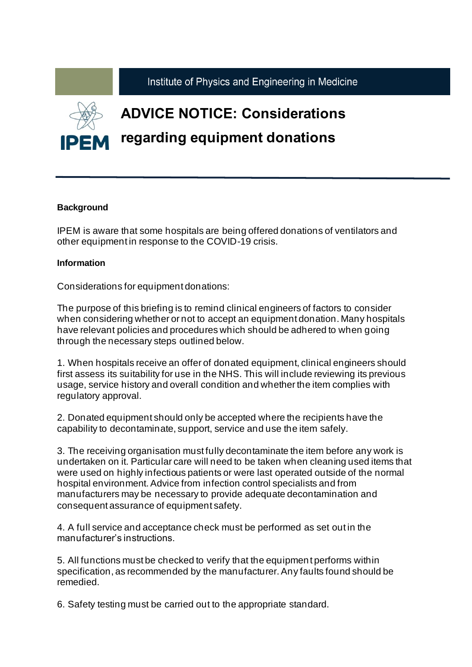

## **Background**

IPEM is aware that some hospitals are being offered donations of ventilators and other equipment in response to the COVID-19 crisis.

## **Information**

Considerations for equipment donations:

The purpose of this briefing is to remind clinical engineers of factors to consider when considering whether or not to accept an equipment donation. Many hospitals have relevant policies and procedures which should be adhered to when going through the necessary steps outlined below.

1. When hospitals receive an offer of donated equipment, clinical engineers should first assess its suitability for use in the NHS. This will include reviewing its previous usage, service history and overall condition and whether the item complies with regulatory approval.

2. Donated equipment should only be accepted where the recipients have the capability to decontaminate, support, service and use the item safely.

3. The receiving organisation must fully decontaminate the item before any work is undertaken on it. Particular care will need to be taken when cleaning used items that were used on highly infectious patients or were last operated outside of the normal hospital environment. Advice from infection control specialists and from manufacturers may be necessary to provide adequate decontamination and consequent assurance of equipment safety.

4. A full service and acceptance check must be performed as set out in the manufacturer's instructions.

5. All functions must be checked to verify that the equipment performs within specification, as recommended by the manufacturer. Any faults found should be remedied.

6. Safety testing must be carried out to the appropriate standard.